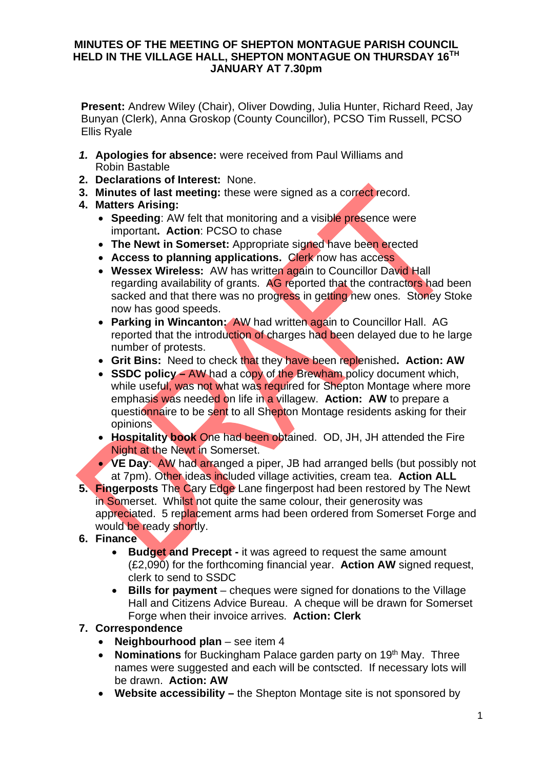## **MINUTES OF THE MEETING OF SHEPTON MONTAGUE PARISH COUNCIL HELD IN THE VILLAGE HALL, SHEPTON MONTAGUE ON THURSDAY 16TH JANUARY AT 7.30pm**

**Present:** Andrew Wiley (Chair), Oliver Dowding, Julia Hunter, Richard Reed, Jay Bunyan (Clerk), Anna Groskop (County Councillor), PCSO Tim Russell, PCSO Ellis Ryale

- *1.* **Apologies for absence:** were received from Paul Williams and Robin Bastable
- **2. Declarations of Interest:** None.
- **3. Minutes of last meeting:** these were signed as a correct record.
- **4. Matters Arising:**
	- **Speeding:** AW felt that monitoring and a visible presence were important**. Action**: PCSO to chase
	- · **The Newt in Somerset:** Appropriate signed have been erected
	- · **Access to planning applications.** Clerk now has access
	- · **Wessex Wireless:** AW has written again to Councillor David Hall regarding availability of grants. AG reported that the contractors had been sacked and that there was no progress in getting new ones. Stoney Stoke now has good speeds.
	- · **Parking in Wincanton:** AW had written again to Councillor Hall. AG reported that the introduction of charges had been delayed due to he large number of protests.
	- · **Grit Bins:** Need to check that they have been replenished**. Action: AW**
	- **SSDC policy –** AW had a copy of the Brewham policy document which. while useful, was not what was required for Shepton Montage where more emphasis was needed on life in a villagew. **Action: AW** to prepare a questionnaire to be sent to all Shepton Montage residents asking for their opinions
	- · **Hospitality book** One had been obtained. OD, JH, JH attended the Fire Night at the Newt in Somerset.
	- · **VE Day**: AW had arranged a piper, JB had arranged bells (but possibly not at 7pm). Other ideas included village activities, cream tea. **Action ALL**
- **5. Fingerposts** The Cary Edge Lane fingerpost had been restored by The Newt in Somerset. Whilst not quite the same colour, their generosity was appreciated. 5 replacement arms had been ordered from Somerset Forge and would be ready shortly.

## **6. Finance**

- · **Budget and Precept -** it was agreed to request the same amount (£2,090) for the forthcoming financial year. **Action AW** signed request, clerk to send to SSDC
- · **Bills for payment** cheques were signed for donations to the Village Hall and Citizens Advice Bureau. A cheque will be drawn for Somerset Forge when their invoice arrives. **Action: Clerk**

## **7. Correspondence**

- · **Neighbourhood plan** see item 4
- · **Nominations** for Buckingham Palace garden party on 19th May. Three names were suggested and each will be contscted. If necessary lots will be drawn. **Action: AW**
- · **Website accessibility –** the Shepton Montage site is not sponsored by